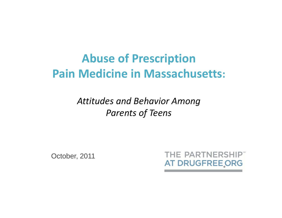# **Abuse of Prescription Pain Medicine in Massachusetts:**

*Attitudes and Behavior Among Parents of Teens*

October, 2011

THE PARTNERSHIP" AT DRUGFREE ORG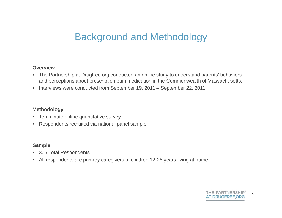## Background and Methodology

#### **Overview**

- $\bullet$  The Partnership at Drugfree.org conducted an online study to understand parents' behaviors and perceptions about prescription pain medication in the Commonwealth of Massachusetts.
- $\bullet$ Interviews were conducted from September 19, 2011 – September 22, 2011.

#### **Methodology**

- •Ten minute online quantitative survey
- $\bullet$ Respondents recruited via national panel sample

#### **Sample**

- •305 Total Respondents
- All respondents are primary caregivers of children 12-25 years living at home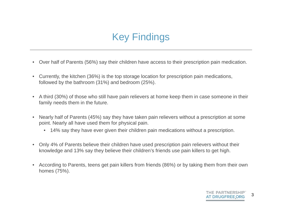## Key Findings

- Over half of Parents (56%) say their children have access to their prescription pain medication.
- $\bullet$  Currently, the kitchen (36%) is the top storage location for prescription pain medications, followed by the bathroom (31%) and bedroom (25%).
- $\bullet$  A third (30%) of those who still have pain relievers at home keep them in case someone in their family needs them in the future.
- • Nearly half of Parents (45%) say they have taken pain relievers without a prescription at some point. Nearly all have used them for physical pain.
	- 14% say they have ever given their children pain medications without a prescription.
- Only 4% of Parents believe their children have used prescription pain relievers without their knowledge and 13% say they believe their children's friends use pain killers to get high.
- According to Parents, teens get pain killers from friends (86%) or by taking them from their own homes (75%).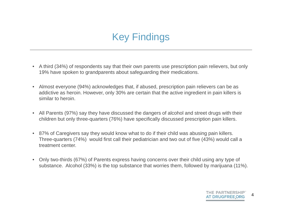- A third (34%) of respondents say that their own parents use prescription pain relievers, but only 19% have spoken to grandparents about safeguarding their medications.
- $\bullet$  Almost everyone (94%) acknowledges that, if abused, prescription pain relievers can be as addictive as heroin. However, only 30% are certain that the active ingredient in pain killers is similar to heroin.
- All Parents (97%) say they have discussed the dangers of alcohol and street drugs with their children but only three-quarters (76%) have specifically discussed prescription pain killers.
- 87% of Caregivers say they would know what to do if their child was abusing pain killers. Three-quarters (74%) would first call their pediatrician and two out of five (43%) would call a treatment center.
- Only two-thirds (67%) of Parents express having concerns over their child using any type of substance. Alcohol (33%) is the top substance that worries them, followed by marijuana (11%).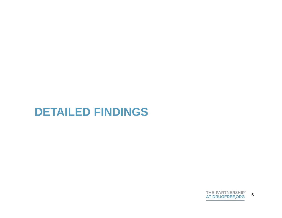

## **DETAILED FINDINGS**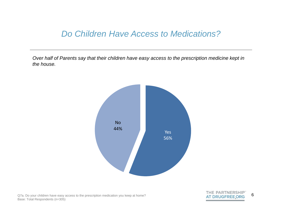#### *Do Children Have Access to Medications?*

*Over half of Parents say that their children have easy access to the prescription medicine kept in the house.* 



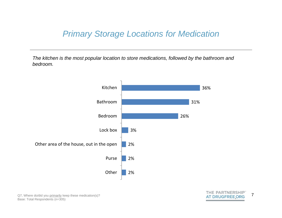### *Primary Storage Locations for Medication*

*The kitchen is the most popular location to store medications, followed by the bathroom and bedroom.* 



7

THE PARTNERSHIP" **AT DRUGFREE ORG**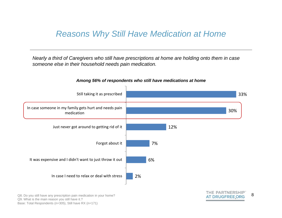### *Reasons Why Still Have Medication at Home*

*Nearly a third of Caregivers who still have prescriptions at home are holding onto them in case someone else in their household needs pain medication.* 



#### *Among 56% of respondents who still have medications at home*

Q8. Do you still have any prescription pain medication in your home? Q9. What is the main reason you still have it.? Base: Total Respondents (n=305), Still have RX (n=171)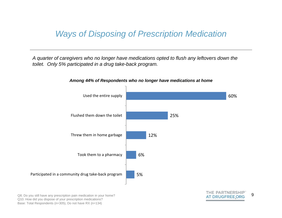### *Ways of Disposing of Prescription Medication*

*A quarter of caregivers who no longer have medications opted to flush any leftovers down the toilet. Only 5% participated in a drug take-back program.*



#### *Among 44% of Respondents who no longer have medications at home*

Q8. Do you still have any prescription pain medication in your home? Q10. How did you dispose of your prescription medications? Base: Total Respondents (n=305), Do not have RX (n=134)

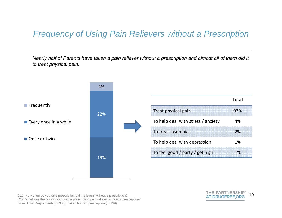### *Frequency of Using Pain Relievers without a Prescription*

*Nearly half of Parents have taken a pain reliever without a prescription and almost all of them did it to treat physical pain.* 



Q11. How often do you take prescription pain relievers without a prescription? Q12. What was the reason you used a prescription pain reliever without a prescription? Base: Total Respondents (n=305), Taken RX w/o prescription (n=139)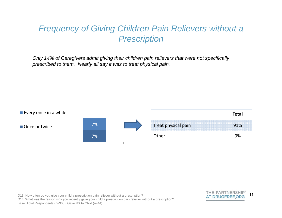### *Frequency of Giving Children Pain Relievers without a Prescription*

*Only 14% of Caregivers admit giving their children pain relievers that were not specifically prescribed to them. Nearly all say it was to treat physical pain.*



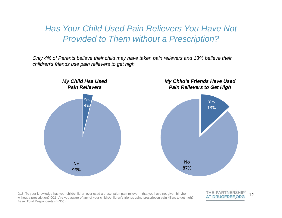*Has Your Child Used Pain Relievers You Have Not Provided to Them without a Prescription?*

*Only 4% of Parents believe their child may have taken pain relievers and 13% believe their children's friends use pain relievers to get high.*



Q15. To your knowledge has your child/children ever used a prescription pain reliever – that you have not given him/her – without a prescription? Q21. Are you aware of any of your child's/children's friends using prescription pain killers to get high? Base: Total Respondents (n=305)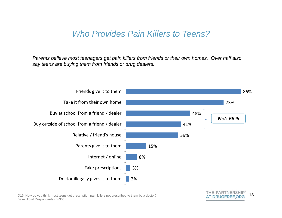### *Who Provides Pain Killers to Teens?*

*Parents believe most teenagers get pain killers from friends or their own homes. Over half also say teens are buying them from friends or drug dealers.*

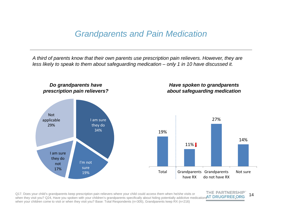#### *Grandparents and Pain Medication*

*A third of parents know that their own parents use prescription pain relievers. However, they are less likely to speak to them about safeguarding medication – only 1 in 10 have discussed it.*



THE PARTNERSHIP Q17. Does your child's grandparents keep prescription pain relievers where your child could access them when he/she visits or 14when they visit you? Q24, Have you spoken with your children's grandparents specifically about hiding potentially addictive medications AT DRUGFREE ORG when your children come to visit or when they visit you? Base: Total Respondents (n=305), Grandparents keep RX (n=216)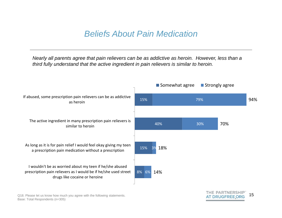### *Beliefs About Pain Medication*

*Nearly all parents agree that pain relievers can be as addictive as heroin. However, less than a third fully understand that the active ingredient in pain relievers is similar to heroin.* 



Q18. Please let us know how much you agree with the following statements. Base: Total Respondents (n=305)

THE PARTNERSHIP 15**AT DRUGFREE ORG**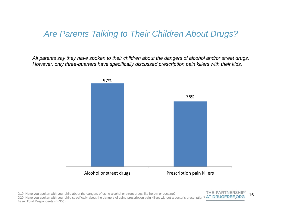### *Are Parents Talking to Their Children About Drugs?*

*All parents say they have spoken to their children about the dangers of alcohol and/or street drugs. However, only three-quarters have specifically discussed prescription pain killers with their kids.*

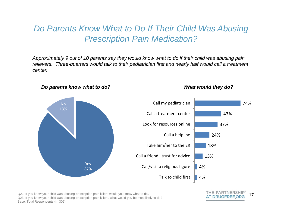#### **Do Parents Know What to Do If Their Child Was Abusing** *Prescription Pain Medication?*

*Approximately 9 out of 10 parents say they would know what to do if their child was abusing pain relievers. Three-quarters would talk to their pediatrician first and nearly half would call a treatment center.*



*Do parents know what to do? What would they do?*

Q22. If you knew your child was abusing prescription pain killers would you know what to do? Q23. If you knew your child was abusing prescription pain killers, what would you be most likely to do? Base: Total Respondents (n=305)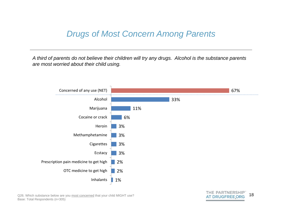### *Drugs of Most Concern Among Parents*

*A third of parents do not believe their children will try any drugs. Alcohol is the substance parents are most worried about their child using.* 



Q26. Which substance below are you most concerned that your child MIGHT use? Base: Total Respondents (n=305)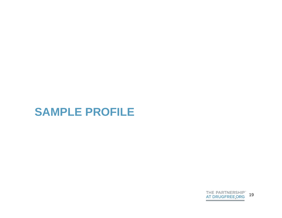

# **SAMPLE PROFILE**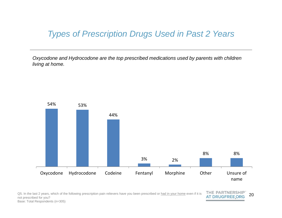### *Types of Prescription Drugs Used in Past 2 Years*

*Oxycodone and Hydrocodone are the top prescribed medications used by parents with children living at home.*



Q5. In the last 2 years, which of the following prescription pain relievers have you been prescribed or had in your home even if it is not prescribed for you? Base: Total Respondents (n=305)

THE PARTNERSHIPT 20 **AT DRUGFREE ORG**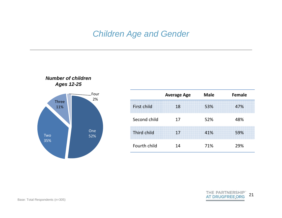#### *Children Age and Gender*



*Number of children* 

|              | <b>Average Age</b> | <b>Male</b> | <b>Female</b> |
|--------------|--------------------|-------------|---------------|
| First child  | 18                 | 53%         | 47%           |
| Second child | 17                 | 52%         | 48%           |
| Third child  | 17                 | 41%         | 59%           |
| Fourth child | 14                 | 71%         | 29%           |

THE PARTNERSHIP"<br>AT DRUGFREE.ORG 21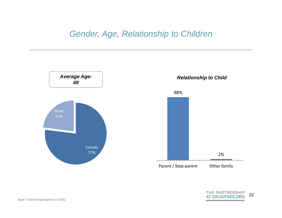#### *Gender, Age, Relationship to Children*

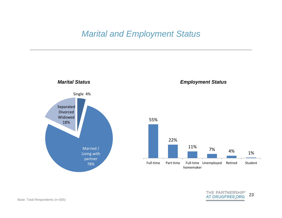#### *Marital and Employment Status*



THE PARTNERSHIP" 23 **AT DRUGFREE ORG**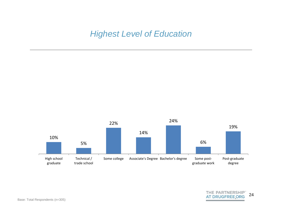*Highest Level of Education*